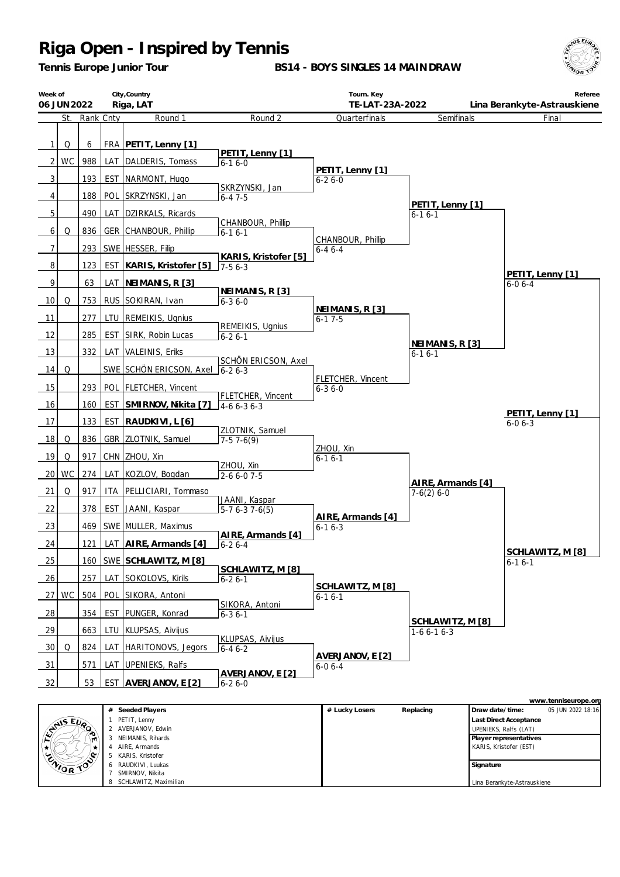6 RAUDKIVI, Luukas 7 SMIRNOV, Nikita **SCHLAWITZ, Maximilian** 

*Tennis Europe Junior Tour*

**BS14 - BOYS SINGLES 14 MAINDRAW**





**Signature** 

Lina Berankyte-Astrauskiene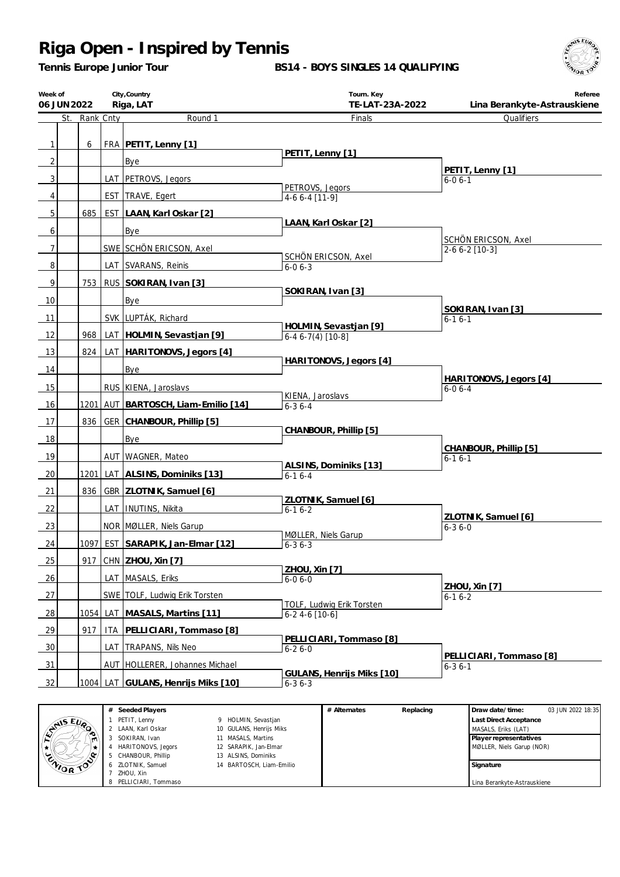*Tennis Europe Junior Tour*

**BS14 - BOYS SINGLES 14 QUALIFYING**



| Week of<br>06 JUN 2022 |               | City, Country<br>Riga, LAT             | Tourn. Key<br>TE-LAT-23A-2022               | Referee<br>Lina Berankyte-Astrauskiene |
|------------------------|---------------|----------------------------------------|---------------------------------------------|----------------------------------------|
|                        | St. Rank Cnty | Round 1                                | Finals                                      | Qualifiers                             |
|                        |               |                                        |                                             |                                        |
| $\mathbf{1}$           | 6             | FRA PETIT, Lenny [1]                   | PETIT, Lenny [1]                            |                                        |
| 2                      |               | Bye                                    |                                             | PETIT, Lenny [1]                       |
| $\overline{3}$         |               | LAT   PETROVS, Jegors                  |                                             | $6-06-1$                               |
| 4                      |               | EST TRAVE, Egert                       | PETROVS, Jegors<br>4-6 6-4 [11-9]           |                                        |
| 5                      | 685           | EST   LAAN, Karl Oskar [2]             |                                             |                                        |
| 6                      |               | Bye                                    | LAAN, Karl Oskar [2]                        |                                        |
| $\overline{7}$         |               | SWE SCHÖN ERICSON, Axel                |                                             | SCHÖN ERICSON, Axel                    |
|                        |               |                                        | <b>SCHÖN ERICSON, Axel</b>                  | 2-6 6-2 [10-3]                         |
| 8                      |               | LAT SVARANS, Reinis                    | $6 - 06 - 3$                                |                                        |
| 9                      | 753           | RUS SOKIRAN, Ivan [3]                  | SOKIRAN, Ivan [3]                           |                                        |
| 10                     |               | Bye                                    |                                             |                                        |
| 11                     |               | SVK LUPTÁK, Richard                    |                                             | SOKIRAN, Ivan [3]<br>$6 - 16 - 1$      |
| 12                     | 968           | LAT HOLMIN, Sevastjan [9]              | HOLMIN, Sevastjan [9]<br>$6-46-7(4)$ [10-8] |                                        |
| 13                     | 824           | LAT HARITONOVS, Jegors [4]             |                                             |                                        |
|                        |               |                                        | HARITONOVS, Jegors [4]                      |                                        |
| 14                     |               | Bye                                    |                                             | HARITONOVS, Jegors [4]                 |
| 15                     |               | RUS KIENA, Jaroslavs                   | KIENA, Jaroslavs                            | $6 - 06 - 4$                           |
| 16                     |               | 1201 AUT BARTOSCH, Liam-Emilio [14]    | $6 - 36 - 4$                                |                                        |
| 17                     | 836           | GER CHANBOUR, Phillip [5]              |                                             |                                        |
| 18                     |               | Bye                                    | CHANBOUR, Phillip [5]                       |                                        |
| 19                     |               | AUT   WAGNER, Mateo                    |                                             | CHANBOUR, Phillip [5]<br>$6 - 16 - 1$  |
| 20                     |               | 1201 LAT ALSINS, Dominiks [13]         | ALSINS, Dominiks [13]                       |                                        |
|                        |               |                                        | $6 - 16 - 4$                                |                                        |
| 21                     | 836           | GBR ZLOTNIK, Samuel [6]                | ZLOTNIK, Samuel [6]                         |                                        |
| 22                     |               | LAT   INUTINS, Nikita                  | $6 - 16 - 2$                                | ZLOTNIK, Samuel [6]                    |
| 23                     |               | NOR MØLLER, Niels Garup                | MØLLER, Niels Garup                         | $6 - 36 - 0$                           |
| 24                     |               | 1097 EST SARAPIK, Jan-Elmar [12]       | $6 - 36 - 3$                                |                                        |
| 25                     |               | 917 CHN ZHOU, Xin [7]                  |                                             |                                        |
| 26                     |               | LAT MASALS, Eriks                      | ZHOU, Xin [7]<br>$6 - 06 - 0$               |                                        |
| 27                     |               | SWE TOLF, Ludwig Erik Torsten          |                                             | ZHOU, Xin [7]                          |
|                        |               |                                        | TOLF, Ludwig Erik Torsten                   | $6 - 16 - 2$                           |
| 28                     | 1054          | LAT MASALS, Martins [11]               | $6-2$ 4-6 [10-6]                            |                                        |
| 29                     | 917           | ITA   PELLICIARI, Tommaso [8]          | PELLICIARI, Tommaso [8]                     |                                        |
| 30 <sup>°</sup>        |               | LAT   TRAPANS, Nils Neo                | $6 - 26 - 0$                                | PELLICIARI, Tommaso [8]                |
| 31                     |               | AUT   HOLLERER, Johannes Michael       |                                             | $6 - 36 - 1$                           |
| 32                     |               | 1004   LAT   GULANS, Henrijs Miks [10] | GULANS, Henrijs Miks [10]<br>$6 - 36 - 3$   |                                        |
|                        |               |                                        |                                             |                                        |

|               | # | Seeded Players       |                          | # Alternates | Replacing | Draw date/time:             | 03 JUN 2022 18:35 |
|---------------|---|----------------------|--------------------------|--------------|-----------|-----------------------------|-------------------|
| MIS EUP       |   | PETIT, Lenny         | 9 HOLMIN, Sevastjan      |              |           | Last Direct Acceptance      |                   |
| 15            |   | 2 LAAN, Karl Oskar   | 10 GULANS, Henrijs Miks  |              |           | MASALS, Eriks (LAT)         |                   |
|               |   | SOKIRAN, Ivan        | 11 MASALS, Martins       |              |           | Player representatives      |                   |
|               |   | 4 HARITONOVS, Jegors | 12 SARAPIK, Jan-Elmar    |              |           | MØLLER, Niels Garup (NOR)   |                   |
|               |   | 5 CHANBOUR, Phillip  | 13 ALSINS, Dominiks      |              |           |                             |                   |
| <b>ENORTO</b> |   | 6 ZLOTNIK, Samuel    | 14 BARTOSCH, Liam-Emilio |              |           | Signature                   |                   |
|               |   | ZHOU. Xin            |                          |              |           |                             |                   |
|               |   | PELLICIARI. Tommaso  |                          |              |           | Lina Berankyte-Astrauskiene |                   |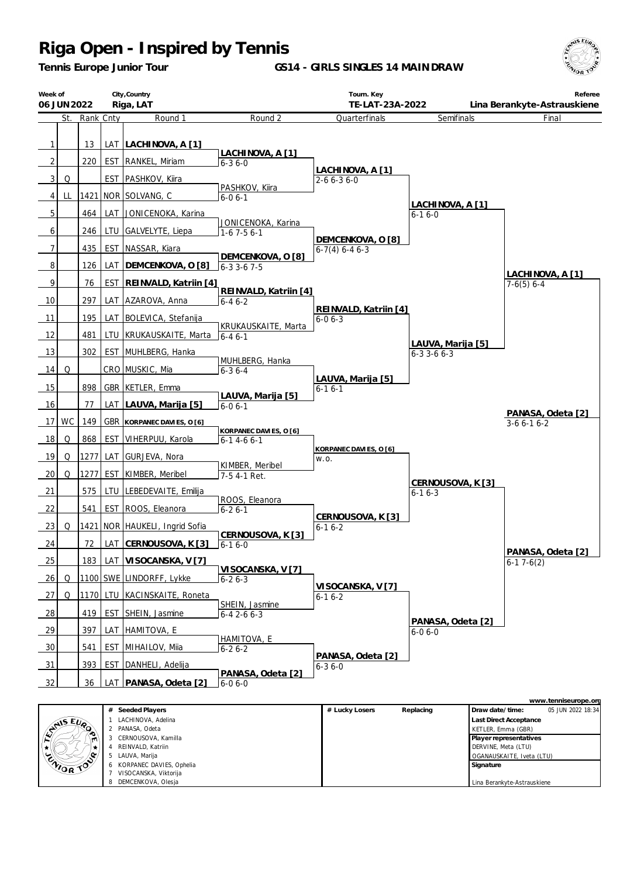6 KORPANEC DAVIES, Ophelia 7 VISOCANSKA, Viktorija 8 DEMCENKOVA, Olesja

*Tennis Europe Junior Tour*

**GS14 - GIRLS SINGLES 14 MAINDRAW**



| Week of        | 06 JUN 2022 |               |            | City, Country<br>Riga, LAT                         |                                       | Tourn. Key<br>TE-LAT-23A-2022           |                                   |                     | Referee<br>Lina Berankyte-Astrauskiene       |
|----------------|-------------|---------------|------------|----------------------------------------------------|---------------------------------------|-----------------------------------------|-----------------------------------|---------------------|----------------------------------------------|
|                |             | St. Rank Cnty |            | Round 1                                            | Round 2                               | Quarterfinals                           | Semifinals                        |                     | Final                                        |
| 1              |             | 13            |            | LAT LACHINOVA, A [1]                               |                                       |                                         |                                   |                     |                                              |
| $\overline{2}$ |             | 220           |            | EST   RANKEL, Miriam                               | LACHINOVA, A [1]<br>$6 - 36 - 0$      |                                         |                                   |                     |                                              |
| 3 <sup>1</sup> | Q           |               |            | EST   PASHKOV, Kiira                               |                                       | LACHINOVA, A [1]<br>$2 - 6 6 - 3 6 - 0$ |                                   |                     |                                              |
|                |             |               |            |                                                    | PASHKOV, Kiira                        |                                         |                                   |                     |                                              |
| 4              | LL          |               |            | 1421   NOR SOLVANG, C                              | $6 - 06 - 1$                          |                                         | LACHINOVA, A [1]                  |                     |                                              |
| 5              |             | 464           |            | LAT JONICENOKA, Karina                             | JONICENOKA, Karina                    |                                         | $6 - 16 - 0$                      |                     |                                              |
| 6              |             | 246           |            | LTU GALVELYTE, Liepa                               | $1-6$ 7 $-5$ 6 $-1$                   | DEMCENKOVA, O [8]                       |                                   |                     |                                              |
| $\overline{7}$ |             | 435           |            | EST   NASSAR, Kiara                                | DEMCENKOVA, O [8]                     | $6-7(4)$ 6-4 6-3                        |                                   |                     |                                              |
| 8              |             | 126           |            | LAT DEMCENKOVA, O [8]                              | $6 - 33 - 67 - 5$                     |                                         |                                   |                     |                                              |
| 9              |             | 76            |            | EST   REI NVALD, Katriin [4]                       |                                       |                                         |                                   |                     | LACHINOVA, A [1]<br>$7-6(5)$ 6-4             |
| 10             |             | 297           |            | LAT AZAROVA, Anna                                  | REINVALD, Katriin [4]<br>$6 - 46 - 2$ |                                         |                                   |                     |                                              |
| 11             |             | 195           |            | LAT BOLEVICA, Stefanija                            |                                       | REINVALD, Katriin [4]<br>$6 - 06 - 3$   |                                   |                     |                                              |
| 12             |             | 481           |            | LTU KRUKAUSKAITE, Marta                            | KRUKAUSKAITE, Marta<br>$6 - 46 - 1$   |                                         |                                   |                     |                                              |
| 13             |             | 302           |            | EST MUHLBERG, Hanka                                |                                       |                                         | LAUVA, Marija [5]                 |                     |                                              |
|                |             |               |            |                                                    | MUHLBERG, Hanka                       |                                         | $6 - 3$ 3 - 6 $6 - 3$             |                     |                                              |
| 14             | Q           |               |            | CRO MUSKIC, Mia                                    | $6 - 36 - 4$                          | LAUVA, Marija [5]                       |                                   |                     |                                              |
| 15             |             | 898           |            | GBR   KETLER, Emma                                 | LAUVA, Marija [5]                     | $6 - 16 - 1$                            |                                   |                     |                                              |
| 16             |             | 77            |            | LAT LAUVA, Marija [5]                              | $6 - 06 - 1$                          |                                         |                                   |                     | PANASA, Odeta [2]                            |
| 17             | WC          | 149           |            | GBR   KORPANEC DAVIES, O [6]                       | KORPANEC DAVIES, O [6]                |                                         |                                   |                     | $3-66-16-2$                                  |
| 18             | Q           | 868           | <b>EST</b> | VIHERPUU, Karola                                   | $6 - 14 - 66 - 1$                     |                                         |                                   |                     |                                              |
| 19             | Q           | 1277          |            | LAT GURJEVA, Nora                                  |                                       | KORPANEC DAVIES, O [6]<br>W.O.          |                                   |                     |                                              |
| 20             | Q           | 1277          | <b>EST</b> | KIMBER, Meribel                                    | KIMBER, Meribel<br>7-5 4-1 Ret.       |                                         |                                   |                     |                                              |
| 21             |             | 575           |            | LTU LEBEDEVAITE, Emilija                           |                                       |                                         | CERNOUSOVA, K [3]<br>$6 - 16 - 3$ |                     |                                              |
| 22             |             | 541           | <b>EST</b> | ROOS, Eleanora                                     | ROOS, Eleanora<br>$6 - 26 - 1$        |                                         |                                   |                     |                                              |
| 23             | Q           |               |            | 1421   NOR   HAUKELI, Ingrid Sofia                 |                                       | CERNOUSOVA, K [3]<br>$6 - 16 - 2$       |                                   |                     |                                              |
| 24             |             | 72            |            | LAT CERNOUSOVA, K [3]                              | CERNOUSOVA, K [3]                     |                                         |                                   |                     |                                              |
|                |             |               |            |                                                    | $6-16-0$                              |                                         |                                   |                     | PANASA, Odeta [2]                            |
| 25             |             |               |            | <u>183   LAT   VISOCANSKA, V [7]</u>               | VISOCANSKA, V[7]                      |                                         |                                   |                     | $6-17-6(2)$                                  |
| 26             | Q           |               |            | 1100 SWE LINDORFF, Lykke                           | $6 - 26 - 3$                          | VISOCANSKA, V[7]                        |                                   |                     |                                              |
| 27             | Q           |               |            | 1170 LTU KACINSKAITE, Roneta                       | SHEIN, Jasmine                        | $6 - 16 - 2$                            |                                   |                     |                                              |
| 28             |             | 419           |            | EST SHEIN, Jasmine                                 | $6 - 42 - 66 - 3$                     |                                         | PANASA, Odeta [2]                 |                     |                                              |
| 29             |             | 397           | LAT        | HAMITOVA, E                                        | HAMITOVA, E                           |                                         | $6 - 06 - 0$                      |                     |                                              |
| 30             |             | 541           |            | EST   MIHAILOV, Miia                               | $6 - 26 - 2$                          |                                         |                                   |                     |                                              |
| $\frac{31}{2}$ |             | 393           | <b>EST</b> | DANHELI, Adelija                                   |                                       | PANASA, Odeta [2]<br>$6 - 36 - 0$       |                                   |                     |                                              |
| 32             |             | 36            |            | LAT   PANASA, Odeta [2]                            | PANASA, Odeta [2]<br>$6 - 06 - 0$     |                                         |                                   |                     |                                              |
|                |             |               |            |                                                    |                                       |                                         |                                   |                     | www.tenniseurope.org                         |
|                | ANISEUR     |               |            | # Seeded Players<br>1 LACHINOVA, Adelina           |                                       | # Lucky Losers                          | Replacing                         | Draw date/time:     | 05 JUN 2022 18:34<br>Last Direct Acceptance  |
|                |             |               |            | 2 PANASA, Odeta<br>3 CERNOUSOVA, Kamilla           |                                       |                                         |                                   |                     | KETLER, Emma (GBR)<br>Player representatives |
| ★              |             |               | 4          | REINVALD, Katriin<br>5 LAUVA, Marija               |                                       |                                         |                                   | DERVINE, Meta (LTU) |                                              |
|                | ENIOR TOO   |               |            | 6 KORPANEC DAVIES, Ophelia<br>VISOCANSKA Viktorija |                                       |                                         |                                   | Signature           | OGANAUSKAITE, Iveta (LTU)                    |

Lina Berankyte-Astrauskiene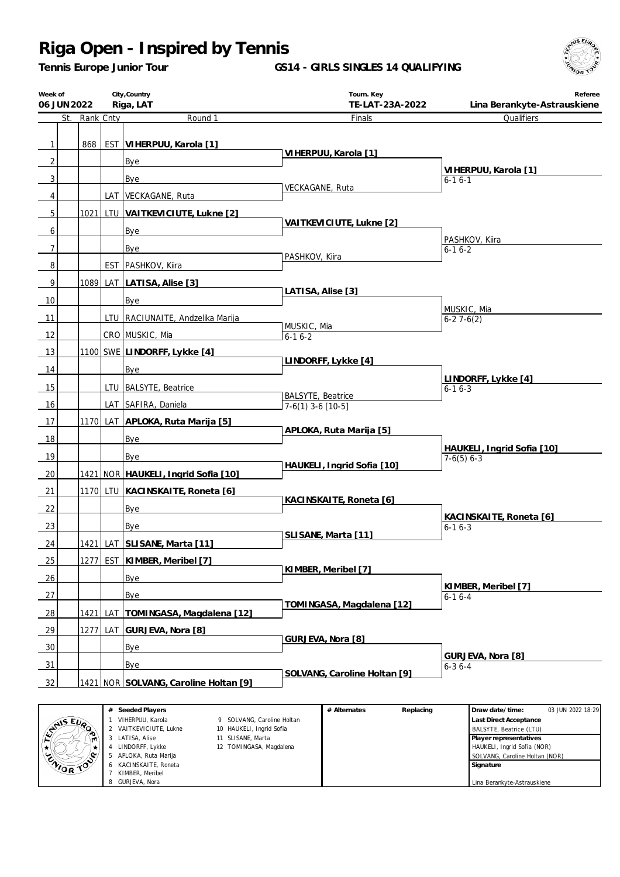APLOKA, Ruta Marija KACINSKAITE, Roneta KIMBER, Meribel GURJEVA, Nora

*Tennis Europe Junior Tour*

**GS14 - GIRLS SINGLES 14 QUALIFYING**



Lina Berankyte-Astrauskiene

| Week of<br>06 JUN 2022 |               |     | City, Country<br>Riga, LAT                                                                                                                                                                                                                                                             |                                                 | Tourn. Key<br>TE-LAT-23A-2022 |           | Referee<br>Lina Berankyte-Astrauskiene                                                                                                                                                            |
|------------------------|---------------|-----|----------------------------------------------------------------------------------------------------------------------------------------------------------------------------------------------------------------------------------------------------------------------------------------|-------------------------------------------------|-------------------------------|-----------|---------------------------------------------------------------------------------------------------------------------------------------------------------------------------------------------------|
|                        | St. Rank Cnty |     | Round 1                                                                                                                                                                                                                                                                                |                                                 | Finals                        |           | Qualifiers                                                                                                                                                                                        |
| $\mathbf{1}$           | 868           |     | EST VIHERPUU, Karola [1]                                                                                                                                                                                                                                                               |                                                 |                               |           |                                                                                                                                                                                                   |
| $\overline{2}$         |               |     | Bye                                                                                                                                                                                                                                                                                    |                                                 | VIHERPUU, Karola [1]          |           |                                                                                                                                                                                                   |
| $\overline{3}$         |               |     | Bye                                                                                                                                                                                                                                                                                    |                                                 |                               |           | VIHERPUU, Karola [1]<br>$6 - 16 - 1$                                                                                                                                                              |
| 4                      |               |     | LAT VECKAGANE, Ruta                                                                                                                                                                                                                                                                    | VECKAGANE, Ruta                                 |                               |           |                                                                                                                                                                                                   |
| 5                      | 1021          |     | LTU VAITKEVICIUTE, Lukne [2]                                                                                                                                                                                                                                                           |                                                 |                               |           |                                                                                                                                                                                                   |
| $6 \mid$               |               |     | Bye                                                                                                                                                                                                                                                                                    |                                                 | VAITKEVICIUTE, Lukne [2]      |           |                                                                                                                                                                                                   |
| $\overline{7}$         |               |     | Bye                                                                                                                                                                                                                                                                                    |                                                 |                               |           | PASHKOV, Kiira                                                                                                                                                                                    |
|                        |               |     |                                                                                                                                                                                                                                                                                        | PASHKOV, Kiira                                  |                               |           | $6 - 16 - 2$                                                                                                                                                                                      |
| 8                      |               |     | EST   PASHKOV, Kiira                                                                                                                                                                                                                                                                   |                                                 |                               |           |                                                                                                                                                                                                   |
| 9                      | 1089          |     | LAT LATISA, Alise [3]                                                                                                                                                                                                                                                                  |                                                 | LATISA, Alise [3]             |           |                                                                                                                                                                                                   |
| 10                     |               |     | Bye                                                                                                                                                                                                                                                                                    |                                                 |                               |           | MUSKIC, Mia                                                                                                                                                                                       |
| 11                     |               |     | LTU   RACIUNAITE, Andzelika Marija                                                                                                                                                                                                                                                     | MUSKIC, Mia                                     |                               |           | $6-27-6(2)$                                                                                                                                                                                       |
| 12                     |               |     | CRO MUSKIC, Mia                                                                                                                                                                                                                                                                        | $6-16-2$                                        |                               |           |                                                                                                                                                                                                   |
| 13                     |               |     | 1100 SWE LINDORFF, Lykke [4]                                                                                                                                                                                                                                                           |                                                 | LINDORFF, Lykke [4]           |           |                                                                                                                                                                                                   |
| 14                     |               |     | Bye                                                                                                                                                                                                                                                                                    |                                                 |                               |           |                                                                                                                                                                                                   |
| 15                     |               |     | LTU   BALSYTE, Beatrice                                                                                                                                                                                                                                                                |                                                 |                               |           | LINDORFF, Lykke [4]<br>$6 - 16 - 3$                                                                                                                                                               |
| 16                     |               |     | LAT SAFIRA, Daniela                                                                                                                                                                                                                                                                    | <b>BALSYTE, Beatrice</b><br>$7-6(1)$ 3-6 [10-5] |                               |           |                                                                                                                                                                                                   |
| 17                     |               |     | 1170 LAT APLOKA, Ruta Marija [5]                                                                                                                                                                                                                                                       |                                                 |                               |           |                                                                                                                                                                                                   |
| 18                     |               |     | Bye                                                                                                                                                                                                                                                                                    |                                                 | APLOKA, Ruta Marija [5]       |           |                                                                                                                                                                                                   |
| 19                     |               |     | Bye                                                                                                                                                                                                                                                                                    |                                                 |                               |           | HAUKELI, Ingrid Sofia [10]                                                                                                                                                                        |
|                        |               |     |                                                                                                                                                                                                                                                                                        |                                                 | HAUKELI, Ingrid Sofia [10]    |           | $7-6(5)$ 6-3                                                                                                                                                                                      |
| 20                     |               |     | 1421 NOR HAUKELI, Ingrid Sofia [10]                                                                                                                                                                                                                                                    |                                                 |                               |           |                                                                                                                                                                                                   |
| 21                     |               |     | 1170 LTU KACINSKAITE, Roneta [6]                                                                                                                                                                                                                                                       |                                                 | KACINSKAITE, Roneta [6]       |           |                                                                                                                                                                                                   |
| 22                     |               |     | Bye                                                                                                                                                                                                                                                                                    |                                                 |                               |           | KACINSKAITE, Roneta [6]                                                                                                                                                                           |
| 23                     |               |     | Bye                                                                                                                                                                                                                                                                                    |                                                 | SLISANE, Marta [11]           |           | $6-16-3$                                                                                                                                                                                          |
| 24                     | 1421          |     | LAT SLISANE, Marta [11]                                                                                                                                                                                                                                                                |                                                 |                               |           |                                                                                                                                                                                                   |
| 25                     |               |     | 1277 EST KIMBER, Meribel [7]                                                                                                                                                                                                                                                           |                                                 |                               |           |                                                                                                                                                                                                   |
| 26                     |               |     | Bye                                                                                                                                                                                                                                                                                    |                                                 | KIMBER, Meribel [7]           |           |                                                                                                                                                                                                   |
| 27                     |               |     | Bye                                                                                                                                                                                                                                                                                    |                                                 |                               |           | KIMBER, Meribel [7]<br>$6-16-4$                                                                                                                                                                   |
| 28                     | 1421          | LAT | TOMINGASA, Magdalena [12]                                                                                                                                                                                                                                                              |                                                 | TOMINGASA, Magdalena [12]     |           |                                                                                                                                                                                                   |
| 29                     | 1277          | LAT | GURJEVA, Nora [8]                                                                                                                                                                                                                                                                      |                                                 |                               |           |                                                                                                                                                                                                   |
| 30                     |               |     | Bye                                                                                                                                                                                                                                                                                    |                                                 | GURJEVA, Nora [8]             |           |                                                                                                                                                                                                   |
| 31                     |               |     | Bye                                                                                                                                                                                                                                                                                    |                                                 |                               |           | GURJEVA, Nora [8]<br>$6 - 36 - 4$                                                                                                                                                                 |
| 32                     |               |     |                                                                                                                                                                                                                                                                                        |                                                 | SOLVANG, Caroline Holtan [9]  |           |                                                                                                                                                                                                   |
|                        |               |     | 1421 NOR SOLVANG, Caroline Holtan [9]                                                                                                                                                                                                                                                  |                                                 |                               |           |                                                                                                                                                                                                   |
| ENISEURO               | ZNOR TO       |     | # Seeded Players<br>1 VIHERPUU, Karola<br>9 SOLVANG, Caroline Holtan<br>2 VAITKEVICIUTE, Lukne<br>10 HAUKELI, Ingrid Sofia<br>3 LATISA, Alise<br>11 SLISANE, Marta<br>4 LINDORFF, Lykke<br>12 TOMINGASA, Magdalena<br>5 APLOKA, Ruta Marija<br>6 KACINSKAITE, Roneta<br>KIMBER Meribel |                                                 | # Alternates                  | Replacing | Draw date/time:<br>03 JUN 2022 18:29<br>Last Direct Acceptance<br>BALSYTE, Beatrice (LTU)<br>Player representatives<br>HAUKELI, Ingrid Sofia (NOR)<br>SOLVANG, Caroline Holtan (NOR)<br>Signature |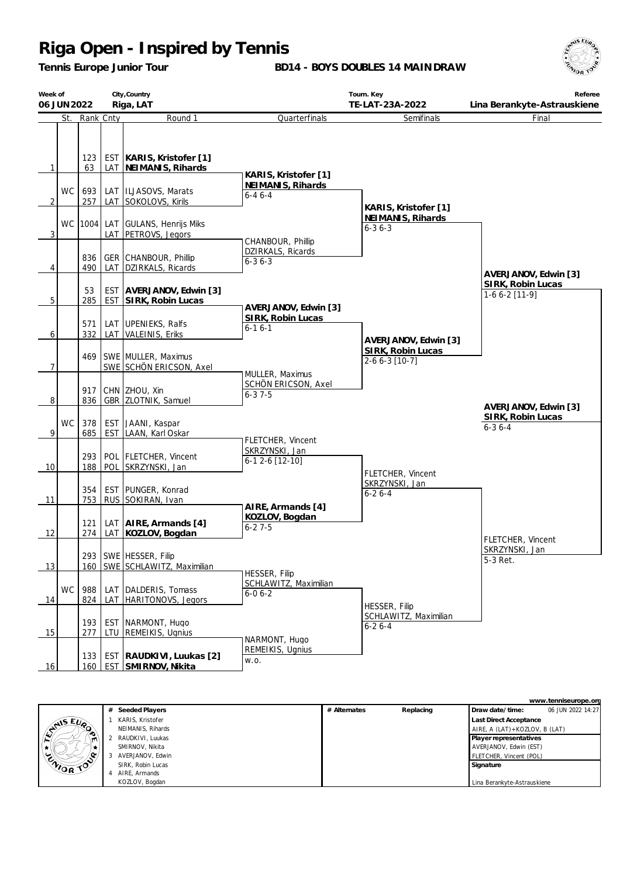*Tennis Europe Junior Tour*

**BD14 - BOYS DOUBLES 14 MAINDRAW**



| Week of<br>06 JUN 2022 |    |                         | City, Country<br>Riga, LAT |                                                                                                          |                                                           | Tourn. Key<br>TE-LAT-23A-2022         | Referee<br>Lina Berankyte-Astrauskiene |  |
|------------------------|----|-------------------------|----------------------------|----------------------------------------------------------------------------------------------------------|-----------------------------------------------------------|---------------------------------------|----------------------------------------|--|
|                        |    | St. Rank Cnty           |                            | Round 1                                                                                                  | Quarterfinals                                             | Semifinals                            | Final                                  |  |
| 1<br>$\overline{2}$    | WC | 123<br>63<br>693<br>257 |                            | EST   KARIS, Kristofer [1]<br>LAT   NEI MANIS, Rihards<br>LAT   ILJASOVS, Marats<br>LAT SOKOLOVS, Kirils | KARIS, Kristofer [1]<br>NEIMANIS, Rihards<br>$6 - 46 - 4$ | KARIS, Kristofer [1]                  |                                        |  |
| 3                      |    | WC   1004               |                            | LAT GULANS, Henrijs Miks<br>LAT PETROVS, Jegors                                                          | CHANBOUR, Phillip                                         | NEIMANIS, Rihards<br>$6 - 36 - 3$     |                                        |  |
| 4                      |    | 836<br>490              |                            | GER CHANBOUR, Phillip<br>LAT   DZIRKALS, Ricards                                                         | DZIRKALS, Ricards<br>$6 - 36 - 3$                         |                                       | AVERJANOV, Edwin [3]                   |  |
| 5                      |    | 53<br>285               |                            | EST AVERJANOV, Edwin [3]<br>EST SIRK, Robin Lucas                                                        |                                                           |                                       | SIRK, Robin Lucas<br>$1-66-2$ [11-9]   |  |
| 6                      |    | 571<br>332              |                            | LAT UPENIEKS, Ralfs<br>LAT   VALEINIS, Eriks                                                             | AVERJANOV, Edwin [3]<br>SIRK, Robin Lucas<br>$6 - 16 - 1$ | AVERJANOV, Edwin [3]                  |                                        |  |
| 7                      |    | 469                     |                            | SWE MULLER, Maximus<br>SWE SCHÖN ERICSON, Axel                                                           | MULLER, Maximus                                           | SIRK, Robin Lucas<br>2-6 6-3 [10-7]   |                                        |  |
| 8                      |    | 917<br>836              |                            | CHN ZHOU, Xin<br>GBR ZLOTNIK, Samuel                                                                     | SCHÖN ERICSON, Axel<br>$6 - 37 - 5$                       |                                       | AVERJANOV, Edwin [3]                   |  |
| 9                      | WC | 378<br>685              |                            | EST JAANI, Kaspar<br>EST   LAAN, Karl Oskar                                                              |                                                           |                                       | SIRK, Robin Lucas<br>$6 - 36 - 4$      |  |
| 10                     |    | 293<br>188              |                            | POL FLETCHER, Vincent<br>POL SKRZYNSKI, Jan                                                              | FLETCHER, Vincent<br>SKRZYNSKI, Jan<br>6-1 2-6 [12-10]    | FLETCHER, Vincent                     |                                        |  |
| 11                     |    | 354<br>753              |                            | EST   PUNGER, Konrad<br>RUS SOKIRAN, Ivan                                                                | AIRE, Armands [4]                                         | SKRZYNSKI, Jan<br>$6 - 26 - 4$        |                                        |  |
| 12                     |    | 121<br>274              |                            | LAT AIRE, Armands [4]<br>LAT   KOZLOV, Bogdan                                                            | KOZLOV, Bogdan<br>$6 - 27 - 5$                            |                                       | FLETCHER, Vincent                      |  |
| 13                     |    |                         |                            | 293   SWE   HESSER, Filip<br>160   SWE SCHLAWITZ, Maximilian                                             | HESSER, Filip                                             |                                       | SKRZYNSKI, Jan<br>5-3 Ret.             |  |
| 14                     | WC | 988<br>824              |                            | LAT   DALDERIS, Tomass<br>LAT HARITONOVS, Jegors                                                         | SCHLAWITZ, Maximilian<br>$6 - 06 - 2$                     | HESSER, Filip                         |                                        |  |
| 15                     |    | 193<br>277              |                            | EST   NARMONT, Hugo<br>LTU REMEIKIS, Ugnius                                                              | NARMONT, Hugo                                             | SCHLAWITZ, Maximilian<br>$6 - 26 - 4$ |                                        |  |
| 16                     |    | 133<br>160              |                            | EST RAUDKIVI, Luukas [2]<br>EST SMIRNOV, Nikita                                                          | REMEIKIS, Ugnius<br>W.O.                                  |                                       |                                        |  |

|          |   |                   |              |           |                               | www.tenniseurope.org |
|----------|---|-------------------|--------------|-----------|-------------------------------|----------------------|
|          | # | Seeded Players    | # Alternates | Replacing | Draw date/time:               | 06 JUN 2022 14:27    |
|          |   | KARIS, Kristofer  |              |           | <b>Last Direct Acceptance</b> |                      |
| ANS EVA  |   | NEIMANIS, Rihards |              |           | AIRE, A (LAT)+KOZLOV, B (LAT) |                      |
| m        |   | RAUDKIVI, Luukas  |              |           | Player representatives        |                      |
|          |   | SMIRNOV, Nikita   |              |           | AVERJANOV, Edwin (EST)        |                      |
| ENIOR TO |   | AVERJANOV, Edwin  |              |           | FLETCHER, Vincent (POL)       |                      |
|          |   | SIRK, Robin Lucas |              |           | Signature                     |                      |
|          |   | AIRE, Armands     |              |           |                               |                      |
|          |   | KOZLOV, Bogdan    |              |           | Lina Berankyte-Astrauskiene   |                      |